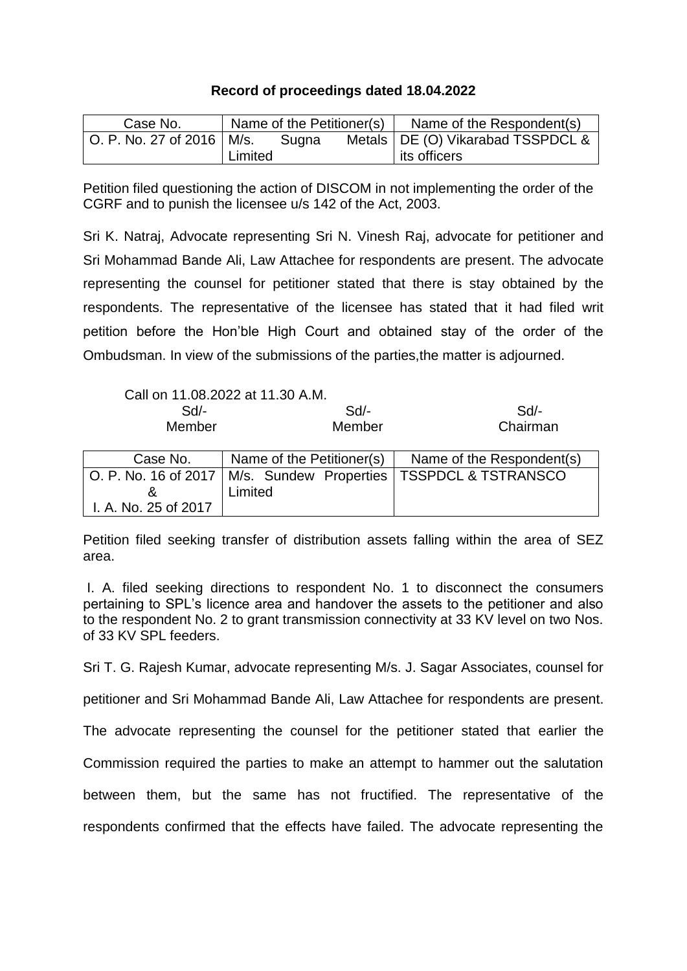## **Record of proceedings dated 18.04.2022**

| Case No.                    | Name of the Petitioner(s) |       |  | Name of the Respondent(s)           |
|-----------------------------|---------------------------|-------|--|-------------------------------------|
| O. P. No. 27 of 2016   M/s. |                           | Sugna |  | Metals   DE (O) Vikarabad TSSPDCL & |
|                             | Limited                   |       |  | l its officers                      |

Petition filed questioning the action of DISCOM in not implementing the order of the CGRF and to punish the licensee u/s 142 of the Act, 2003.

Sri K. Natraj, Advocate representing Sri N. Vinesh Raj, advocate for petitioner and Sri Mohammad Bande Ali, Law Attachee for respondents are present. The advocate representing the counsel for petitioner stated that there is stay obtained by the respondents. The representative of the licensee has stated that it had filed writ petition before the Hon'ble High Court and obtained stay of the order of the Ombudsman. In view of the submissions of the parties,the matter is adjourned.

|          | Call on 11.08.2022 at 11.30 A.M.              |                                |
|----------|-----------------------------------------------|--------------------------------|
| Sd       | Sd                                            | Sd                             |
| Member   | Member                                        | Chairman                       |
|          |                                               |                                |
| Case No. | Name of the Petitioner(s)                     | Name of the Respondent(s)      |
|          |                                               |                                |
|          | O. P. No. 16 of 2017   M/s. Sundew Properties | <b>TSSPDCL &amp; TSTRANSCO</b> |
|          | Limited                                       |                                |

Petition filed seeking transfer of distribution assets falling within the area of SEZ area.

I. A. filed seeking directions to respondent No. 1 to disconnect the consumers pertaining to SPL's licence area and handover the assets to the petitioner and also to the respondent No. 2 to grant transmission connectivity at 33 KV level on two Nos. of 33 KV SPL feeders.

Sri T. G. Rajesh Kumar, advocate representing M/s. J. Sagar Associates, counsel for

petitioner and Sri Mohammad Bande Ali, Law Attachee for respondents are present.

The advocate representing the counsel for the petitioner stated that earlier the

Commission required the parties to make an attempt to hammer out the salutation

between them, but the same has not fructified. The representative of the

respondents confirmed that the effects have failed. The advocate representing the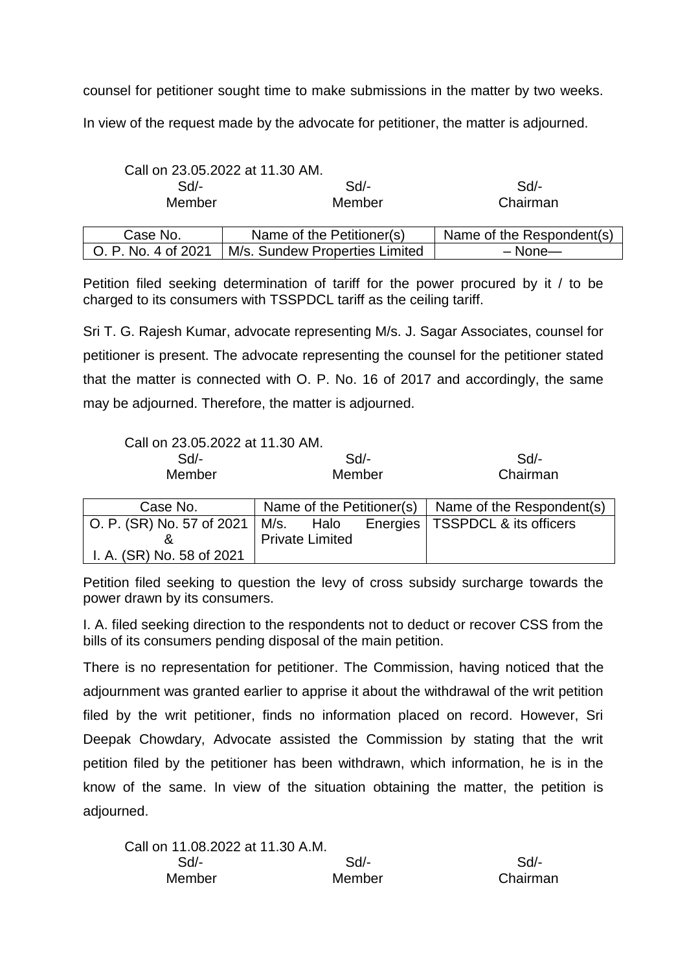counsel for petitioner sought time to make submissions in the matter by two weeks.

In view of the request made by the advocate for petitioner, the matter is adjourned.

|                     | Call on 23.05.2022 at 11.30 AM. |                           |  |
|---------------------|---------------------------------|---------------------------|--|
| $Sd$ -              | $Sd$ -                          | Sd                        |  |
| Member              | Member                          | Chairman                  |  |
| Case No.            | Name of the Petitioner(s)       | Name of the Respondent(s) |  |
| O. P. No. 4 of 2021 | M/s. Sundew Properties Limited  | $-$ None $-$              |  |

Petition filed seeking determination of tariff for the power procured by it / to be charged to its consumers with TSSPDCL tariff as the ceiling tariff.

Sri T. G. Rajesh Kumar, advocate representing M/s. J. Sagar Associates, counsel for petitioner is present. The advocate representing the counsel for the petitioner stated that the matter is connected with O. P. No. 16 of 2017 and accordingly, the same may be adjourned. Therefore, the matter is adjourned.

| Call on 23.05.2022 at 11.30 AM. |        |          |
|---------------------------------|--------|----------|
| $Sd/-$                          | Sd     | $Sd/$ -  |
| Member                          | Member | Chairman |

| Case No.                                            |                        | Name of the Petitioner(s) $\vert$ Name of the Respondent(s) |
|-----------------------------------------------------|------------------------|-------------------------------------------------------------|
| $\vert$ O. P. (SR) No. 57 of 2021 $\vert$ M/s. Halo |                        | Energies   TSSPDCL & its officers                           |
|                                                     | <b>Private Limited</b> |                                                             |
| I. A. (SR) No. 58 of 2021                           |                        |                                                             |

Petition filed seeking to question the levy of cross subsidy surcharge towards the power drawn by its consumers.

I. A. filed seeking direction to the respondents not to deduct or recover CSS from the bills of its consumers pending disposal of the main petition.

There is no representation for petitioner. The Commission, having noticed that the adjournment was granted earlier to apprise it about the withdrawal of the writ petition filed by the writ petitioner, finds no information placed on record. However, Sri Deepak Chowdary, Advocate assisted the Commission by stating that the writ petition filed by the petitioner has been withdrawn, which information, he is in the know of the same. In view of the situation obtaining the matter, the petition is adjourned.

| Call on 11.08.2022 at 11.30 A.M. |        |          |
|----------------------------------|--------|----------|
| Sd/-                             | Sd     | Sd       |
| Member                           | Member | Chairman |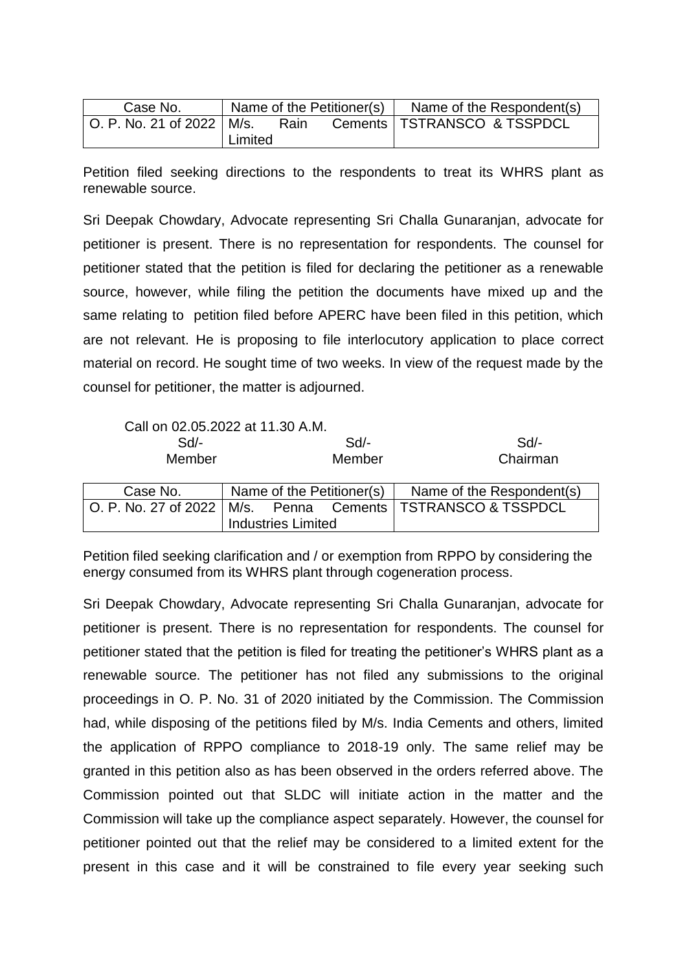| Case No.                    | Name of the Petitioner(s) |      |  | Name of the Respondent(s)     |
|-----------------------------|---------------------------|------|--|-------------------------------|
| O. P. No. 21 of 2022   M/s. |                           | Rain |  | Cements   TSTRANSCO & TSSPDCL |
|                             | Limited                   |      |  |                               |

Petition filed seeking directions to the respondents to treat its WHRS plant as renewable source.

Sri Deepak Chowdary, Advocate representing Sri Challa Gunaranjan, advocate for petitioner is present. There is no representation for respondents. The counsel for petitioner stated that the petition is filed for declaring the petitioner as a renewable source, however, while filing the petition the documents have mixed up and the same relating to petition filed before APERC have been filed in this petition, which are not relevant. He is proposing to file interlocutory application to place correct material on record. He sought time of two weeks. In view of the request made by the counsel for petitioner, the matter is adjourned.

| Call on 02.05.2022 at 11.30 A.M.<br>$Sd$ -<br>Member |                           | $Sd$ -<br>Member          | Sd<br>Chairman                           |
|------------------------------------------------------|---------------------------|---------------------------|------------------------------------------|
| Case No.                                             |                           | Name of the Petitioner(s) | Name of the Respondent(s)                |
| O. P. No. 27 of 2022                                 | <b>Industries Limited</b> |                           | M/s. Penna Cements   TSTRANSCO & TSSPDCL |

Petition filed seeking clarification and / or exemption from RPPO by considering the energy consumed from its WHRS plant through cogeneration process.

Sri Deepak Chowdary, Advocate representing Sri Challa Gunaranjan, advocate for petitioner is present. There is no representation for respondents. The counsel for petitioner stated that the petition is filed for treating the petitioner's WHRS plant as a renewable source. The petitioner has not filed any submissions to the original proceedings in O. P. No. 31 of 2020 initiated by the Commission. The Commission had, while disposing of the petitions filed by M/s. India Cements and others, limited the application of RPPO compliance to 2018-19 only. The same relief may be granted in this petition also as has been observed in the orders referred above. The Commission pointed out that SLDC will initiate action in the matter and the Commission will take up the compliance aspect separately. However, the counsel for petitioner pointed out that the relief may be considered to a limited extent for the present in this case and it will be constrained to file every year seeking such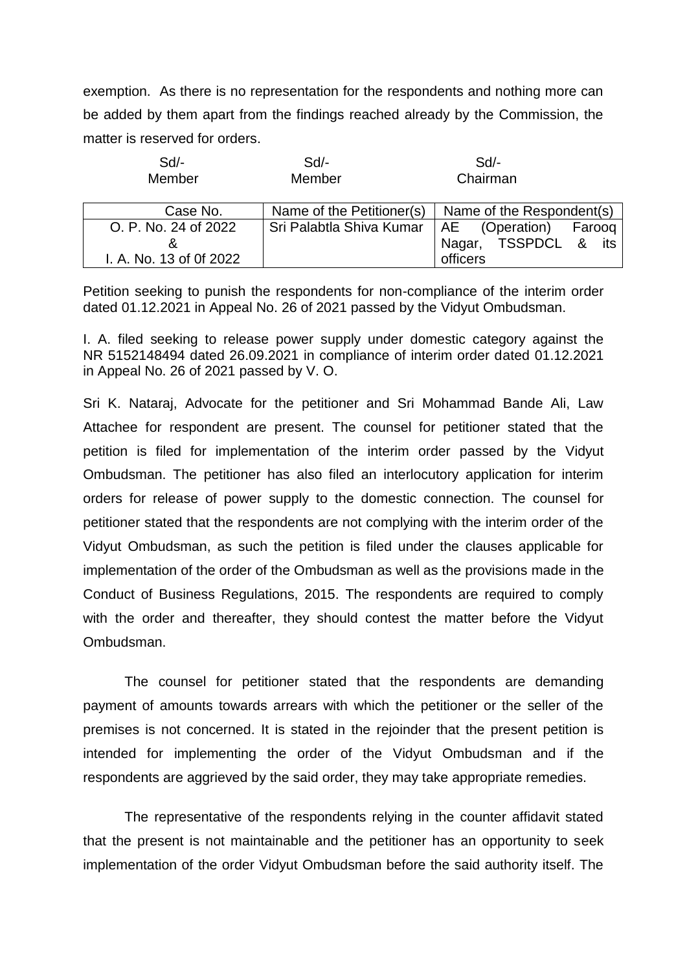exemption. As there is no representation for the respondents and nothing more can be added by them apart from the findings reached already by the Commission, the matter is reserved for orders.

| $Sd$ -<br>Member        | $Sd$ -<br>Member                          | $Sd$ -<br>Chairman        |
|-------------------------|-------------------------------------------|---------------------------|
| Case No.                | Name of the Petitioner(s)                 | Name of the Respondent(s) |
| O. P. No. 24 of 2022    | Sri Palabtla Shiva Kumar   AE (Operation) | Farooq                    |
| &                       |                                           | Nagar, TSSPDCL & its      |
| I. A. No. 13 of 0f 2022 |                                           | officers                  |

Petition seeking to punish the respondents for non-compliance of the interim order dated 01.12.2021 in Appeal No. 26 of 2021 passed by the Vidyut Ombudsman.

I. A. filed seeking to release power supply under domestic category against the NR 5152148494 dated 26.09.2021 in compliance of interim order dated 01.12.2021 in Appeal No. 26 of 2021 passed by V. O.

Sri K. Nataraj, Advocate for the petitioner and Sri Mohammad Bande Ali, Law Attachee for respondent are present. The counsel for petitioner stated that the petition is filed for implementation of the interim order passed by the Vidyut Ombudsman. The petitioner has also filed an interlocutory application for interim orders for release of power supply to the domestic connection. The counsel for petitioner stated that the respondents are not complying with the interim order of the Vidyut Ombudsman, as such the petition is filed under the clauses applicable for implementation of the order of the Ombudsman as well as the provisions made in the Conduct of Business Regulations, 2015. The respondents are required to comply with the order and thereafter, they should contest the matter before the Vidyut Ombudsman.

The counsel for petitioner stated that the respondents are demanding payment of amounts towards arrears with which the petitioner or the seller of the premises is not concerned. It is stated in the rejoinder that the present petition is intended for implementing the order of the Vidyut Ombudsman and if the respondents are aggrieved by the said order, they may take appropriate remedies.

The representative of the respondents relying in the counter affidavit stated that the present is not maintainable and the petitioner has an opportunity to seek implementation of the order Vidyut Ombudsman before the said authority itself. The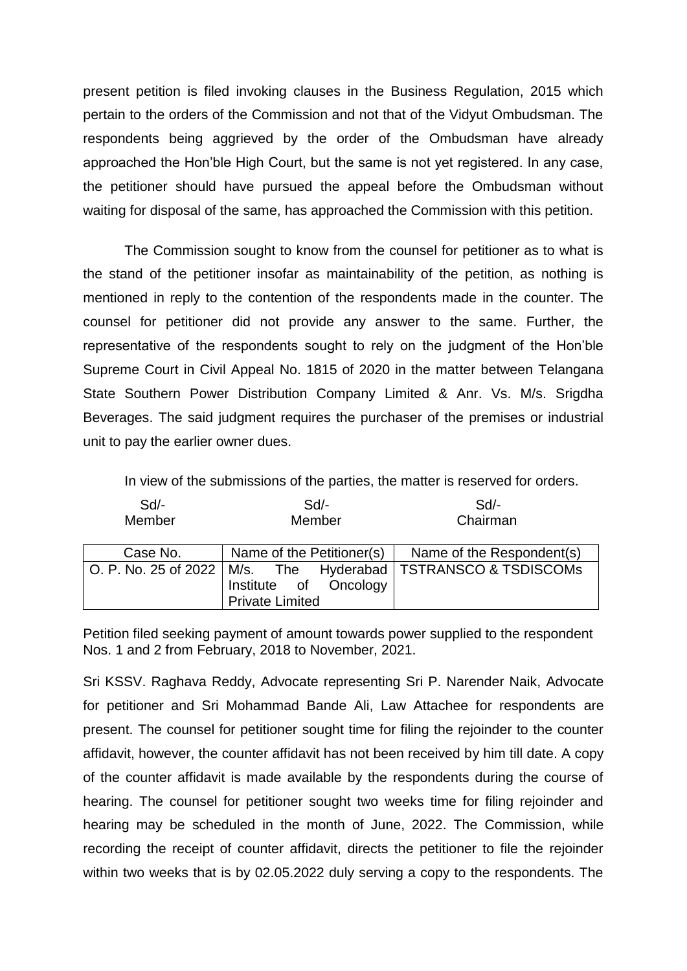present petition is filed invoking clauses in the Business Regulation, 2015 which pertain to the orders of the Commission and not that of the Vidyut Ombudsman. The respondents being aggrieved by the order of the Ombudsman have already approached the Hon'ble High Court, but the same is not yet registered. In any case, the petitioner should have pursued the appeal before the Ombudsman without waiting for disposal of the same, has approached the Commission with this petition.

The Commission sought to know from the counsel for petitioner as to what is the stand of the petitioner insofar as maintainability of the petition, as nothing is mentioned in reply to the contention of the respondents made in the counter. The counsel for petitioner did not provide any answer to the same. Further, the representative of the respondents sought to rely on the judgment of the Hon'ble Supreme Court in Civil Appeal No. 1815 of 2020 in the matter between Telangana State Southern Power Distribution Company Limited & Anr. Vs. M/s. Srigdha Beverages. The said judgment requires the purchaser of the premises or industrial unit to pay the earlier owner dues.

In view of the submissions of the parties, the matter is reserved for orders.

| Sd<br>Member | $Sd$ -<br>Member                                | Sd<br>Chairman                                                    |
|--------------|-------------------------------------------------|-------------------------------------------------------------------|
| Case No.     | Name of the Petitioner(s)                       | Name of the Respondent(s)                                         |
|              | Institute of Oncology<br><b>Private Limited</b> | O. P. No. 25 of 2022   M/s. The Hyderabad   TSTRANSCO & TSDISCOMs |

Petition filed seeking payment of amount towards power supplied to the respondent Nos. 1 and 2 from February, 2018 to November, 2021.

Sri KSSV. Raghava Reddy, Advocate representing Sri P. Narender Naik, Advocate for petitioner and Sri Mohammad Bande Ali, Law Attachee for respondents are present. The counsel for petitioner sought time for filing the rejoinder to the counter affidavit, however, the counter affidavit has not been received by him till date. A copy of the counter affidavit is made available by the respondents during the course of hearing. The counsel for petitioner sought two weeks time for filing rejoinder and hearing may be scheduled in the month of June, 2022. The Commission, while recording the receipt of counter affidavit, directs the petitioner to file the rejoinder within two weeks that is by 02.05.2022 duly serving a copy to the respondents. The